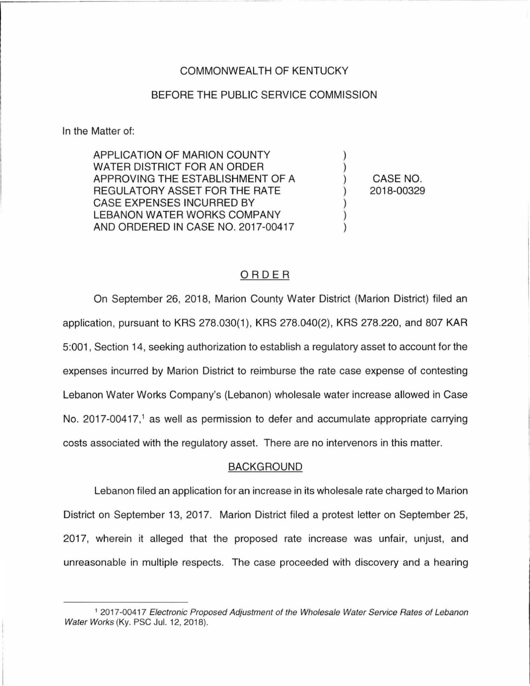## COMMONWEALTH OF KENTUCKY

### BEFORE THE PUBLIC SERVICE COMMISSION

In the Matter of:

APPLICATION OF MARION COUNTY WATER DISTRICT FOR AN ORDER APPROVING THE ESTABLISHMENT OF A REGULATORY ASSET FOR THE RATE CASE EXPENSES INCURRED BY LEBANON WATER WORKS COMPANY AND ORDERED IN CASE NO. 2017-00417

CASE NO. 2018-00329

) ) ) ) ) ) )

# ORDER

On September 26, 2018, Marion County Water District (Marion District) filed an application, pursuant to KRS 278.030(1 ), KRS 278.040(2), KRS 278.220, and 807 KAR 5:001 , Section 14, seeking authorization to establish a regulatory asset to account for the expenses incurred by Marion District to reimburse the rate case expense of contesting Lebanon Water Works Company's (Lebanon) wholesale water increase allowed in Case No. 2017-00417,<sup>1</sup> as well as permission to defer and accumulate appropriate carrying costs associated with the regulatory asset. There are no intervenors in this matter.

#### BACKGROUND

Lebanon filed an application for an increase in its wholesale rate charged to Marion District on September 13, 2017. Marion District filed a protest letter on September 25, 2017, wherein it alleged that the proposed rate increase was unfair, unjust, and unreasonable in multiple respects. The case proceeded with discovery and a hearing

<sup>&</sup>lt;sup>1</sup> 2017-00417 Electronic Proposed Adjustment of the Wholesale Water Service Rates of Lebanon Water Works (Ky. PSC Jul. 12, 2018).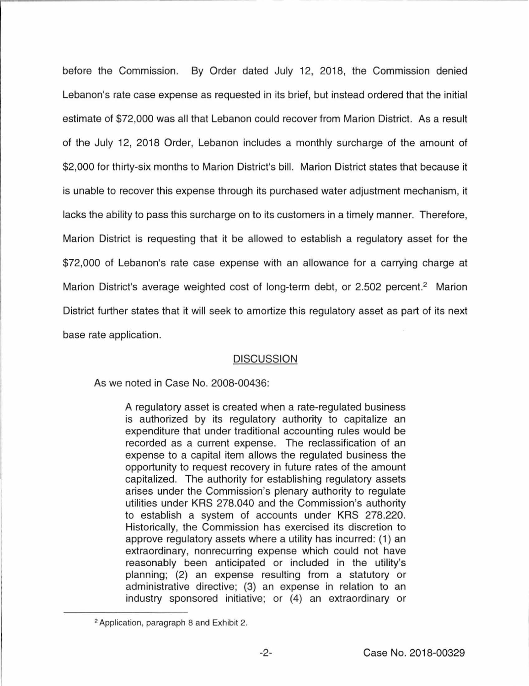before the Commission. By Order dated July 12, 2018, the Commission denied Lebanon's rate case expense as requested in its brief, but instead ordered that the initial estimate of \$72,000 was all that Lebanon could recover from Marion District. As a result of the July 12, 2018 Order, Lebanon includes a monthly surcharge of the amount of \$2,000 for thirty-six months to Marion District's bill. Marion District states that because it is unable to recover this expense through its purchased water adjustment mechanism, it lacks the ability to pass this surcharge on to its customers in a timely manner. Therefore, Marion District is requesting that it be allowed to establish a regulatory asset for the \$72,000 of Lebanon's rate case expense with an allowance for a carrying charge at Marion District's average weighted cost of long-term debt, or 2.502 percent.<sup>2</sup> Marion District further states that it will seek to amortize this regulatory asset as part of its next base rate application.

## **DISCUSSION**

As we noted in Case No. 2008-00436:

A regulatory asset is created when a rate-regulated business is authorized by its regulatory authority to capitalize an expenditure that under traditional accounting rules would be recorded as a current expense. The reclassification of an expense to a capital item allows the regulated business the opportunity to request recovery in future rates of the amount capitalized. The authority for establishing regulatory assets arises under the Commission's plenary authority to regulate utilities under KRS 278.040 and the Commission's authority to establish a system of accounts under KRS 278.220. Historically, the Commission has exercised its discretion to approve regulatory assets where a utility has incurred: (1) an extraordinary, nonrecurring expense which could not have reasonably been anticipated or included in the utility's planning; (2) an expense resulting from a statutory or administrative directive; (3) an expense in relation to an industry sponsored initiative; or (4) an extraordinary or

<sup>2</sup> Application, paragraph 8 and Exhibit 2.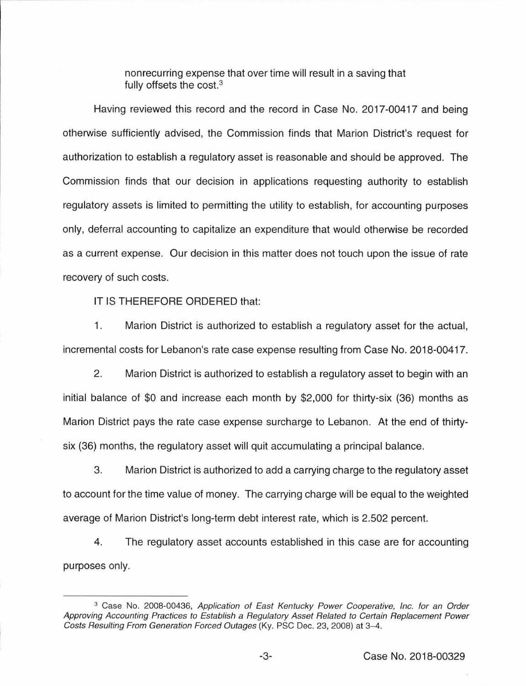nonrecurring expense that over time will result in a saving that fully offsets the cost.<sup>3</sup>

Having reviewed this record and the record in Case No. 2017-00417 and being otherwise sufficiently advised, the Commission finds that Marion District's request for authorization to establish a regulatory asset is reasonable and should be approved. The Commission finds that our decision in applications requesting authority to establish regulatory assets is limited to permitting the utility to establish, for accounting purposes only, deferral accounting to capitalize an expenditure that would otherwise be recorded as a current expense. Our decision in this matter does not touch upon the issue of rate recovery of such costs.

IT IS THEREFORE ORDERED that:

1. Marion District is authorized to establish a regulatory asset for the actual, incremental costs for Lebanon's rate case expense resulting from Case No. 2018-00417.

2. Marion District is authorized to establish a regulatory asset to begin with an initial balance of \$0 and increase each month by \$2,000 for thirty-six (36) months as Marion District pays the rate case expense surcharge to Lebanon. At the end of thirtysix (36) months, the regulatory asset will quit accumulating a principal balance.

3. Marion District is authorized to add a carrying charge to the regulatory asset to account for the time value of money. The carrying charge will be equal to the weighted average of Marion District's long-term debt interest rate, which is 2.502 percent.

4. The regulatory asset accounts established in this case are for accounting purposes only.

<sup>&</sup>lt;sup>3</sup> Case No. 2008-00436, Application of East Kentucky Power Cooperative, Inc. for an Order Approving Accounting Practices to Establish a Regulatory Asset Related to Certain Replacement Power Costs Resulting From Generation Forced Outages (Ky. PSC Dec. 23, 2008) at 3-4.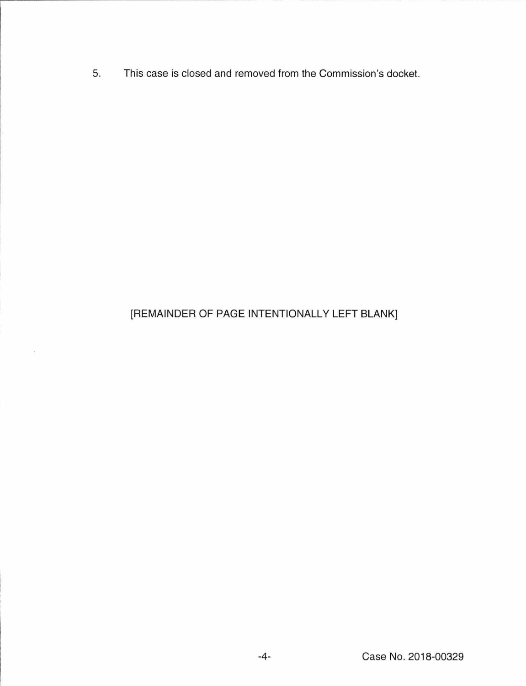5. This case is closed and removed from the Commission's docket.

# [REMAINDER OF PAGE INTENTIONALLY LEFT BLANK]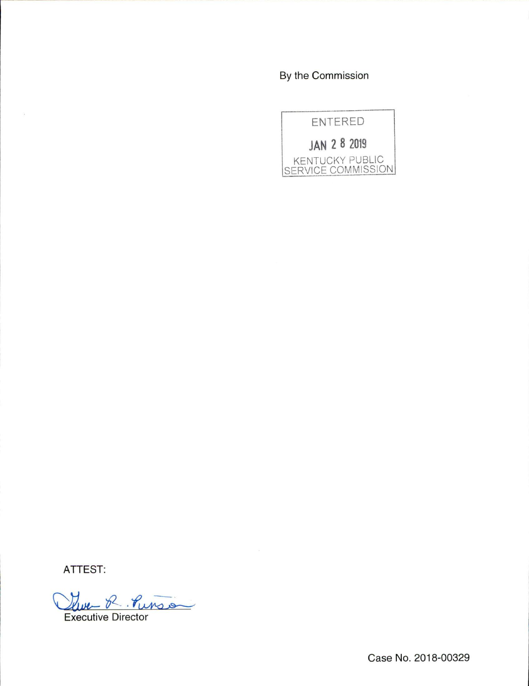By the Commission



ATTEST:

Lure R. Punson

Case No. 2018-00329